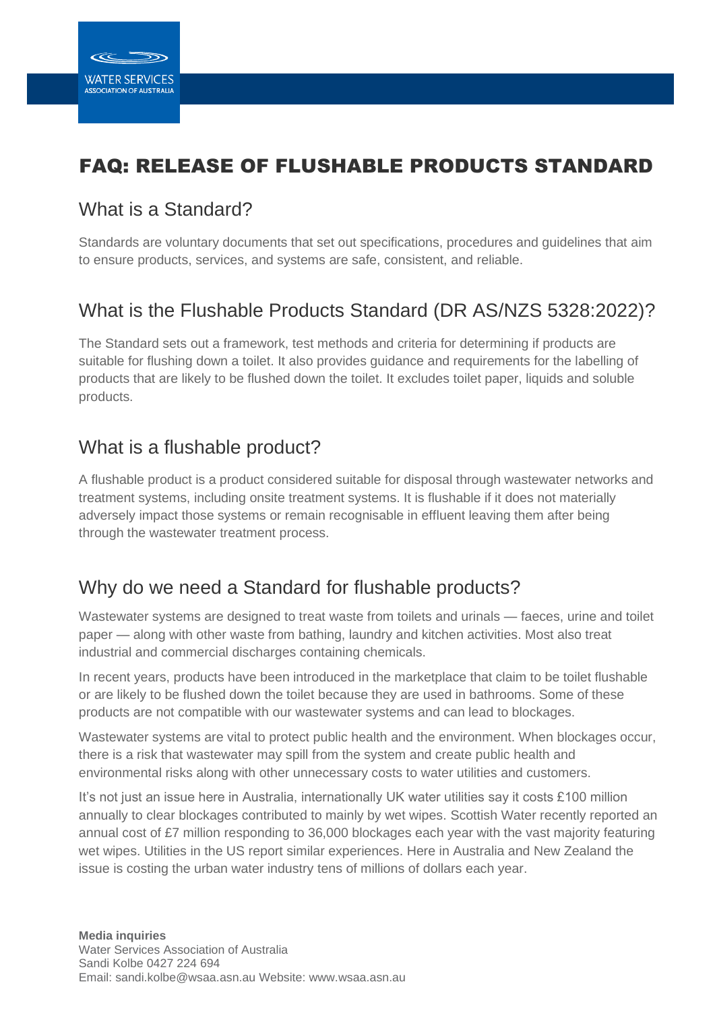# FAQ: RELEASE OF FLUSHABLE PRODUCTS STANDARD

## What is a Standard?

Standards are voluntary documents that set out specifications, procedures and guidelines that aim to ensure products, services, and systems are safe, consistent, and reliable.

# What is the Flushable Products Standard (DR AS/NZS 5328:2022)?

The Standard sets out a framework, test methods and criteria for determining if products are suitable for flushing down a toilet. It also provides guidance and requirements for the labelling of products that are likely to be flushed down the toilet. It excludes toilet paper, liquids and soluble products.

### What is a flushable product?

A flushable product is a product considered suitable for disposal through wastewater networks and treatment systems, including onsite treatment systems. It is flushable if it does not materially adversely impact those systems or remain recognisable in effluent leaving them after being through the wastewater treatment process.

### Why do we need a Standard for flushable products?

Wastewater systems are designed to treat waste from toilets and urinals — faeces, urine and toilet paper — along with other waste from bathing, laundry and kitchen activities. Most also treat industrial and commercial discharges containing chemicals.

In recent years, products have been introduced in the marketplace that claim to be toilet flushable or are likely to be flushed down the toilet because they are used in bathrooms. Some of these products are not compatible with our wastewater systems and can lead to blockages.

Wastewater systems are vital to protect public health and the environment. When blockages occur, there is a risk that wastewater may spill from the system and create public health and environmental risks along with other unnecessary costs to water utilities and customers.

It's not just an issue here in Australia, internationally UK water utilities say it costs £100 million annually to clear blockages contributed to mainly by wet wipes. Scottish Water recently reported an annual cost of £7 million responding to 36,000 blockages each year with the vast majority featuring wet wipes. Utilities in the US report similar experiences. Here in Australia and New Zealand the issue is costing the urban water industry tens of millions of dollars each year.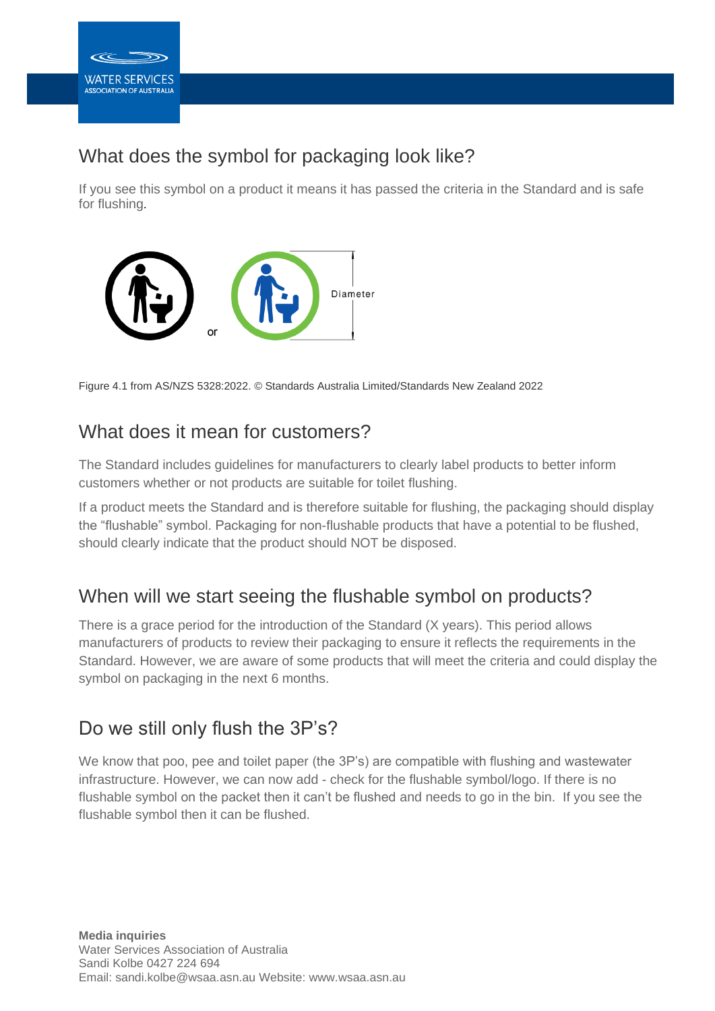

## What does the symbol for packaging look like?

If you see this symbol on a product it means it has passed the criteria in the Standard and is safe for flushing.



Figure 4.1 from AS/NZS 5328:2022. © Standards Australia Limited/Standards New Zealand 2022

#### What does it mean for customers?

The Standard includes guidelines for manufacturers to clearly label products to better inform customers whether or not products are suitable for toilet flushing.

If a product meets the Standard and is therefore suitable for flushing, the packaging should display the "flushable" symbol. Packaging for non-flushable products that have a potential to be flushed, should clearly indicate that the product should NOT be disposed.

### When will we start seeing the flushable symbol on products?

There is a grace period for the introduction of the Standard (X years). This period allows manufacturers of products to review their packaging to ensure it reflects the requirements in the Standard. However, we are aware of some products that will meet the criteria and could display the symbol on packaging in the next 6 months.

### Do we still only flush the 3P's?

We know that poo, pee and toilet paper (the 3P's) are compatible with flushing and wastewater infrastructure. However, we can now add - check for the flushable symbol/logo. If there is no flushable symbol on the packet then it can't be flushed and needs to go in the bin. If you see the flushable symbol then it can be flushed.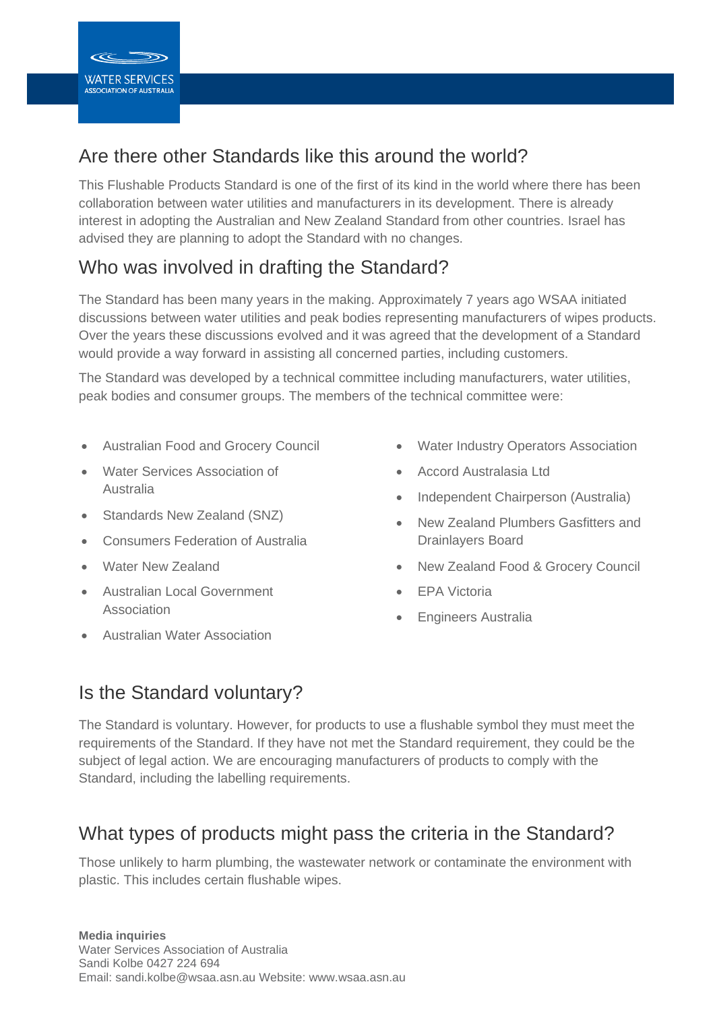## Are there other Standards like this around the world?

This Flushable Products Standard is one of the first of its kind in the world where there has been collaboration between water utilities and manufacturers in its development. There is already interest in adopting the Australian and New Zealand Standard from other countries. Israel has advised they are planning to adopt the Standard with no changes.

# Who was involved in drafting the Standard?

The Standard has been many years in the making. Approximately 7 years ago WSAA initiated discussions between water utilities and peak bodies representing manufacturers of wipes products. Over the years these discussions evolved and it was agreed that the development of a Standard would provide a way forward in assisting all concerned parties, including customers.

The Standard was developed by a technical committee including manufacturers, water utilities, peak bodies and consumer groups. The members of the technical committee were:

- Australian Food and Grocery Council
- Water Services Association of Australia
- Standards New Zealand (SNZ)
- Consumers Federation of Australia
- **Water New Zealand**
- Australian Local Government Association
- Australian Water Association
- Water Industry Operators Association
- Accord Australasia Ltd
- Independent Chairperson (Australia)
- New Zealand Plumbers Gasfitters and Drainlayers Board
- New Zealand Food & Grocery Council
- EPA Victoria
- Engineers Australia

# Is the Standard voluntary?

The Standard is voluntary. However, for products to use a flushable symbol they must meet the requirements of the Standard. If they have not met the Standard requirement, they could be the subject of legal action. We are encouraging manufacturers of products to comply with the Standard, including the labelling requirements.

## What types of products might pass the criteria in the Standard?

Those unlikely to harm plumbing, the wastewater network or contaminate the environment with plastic. This includes certain flushable wipes.